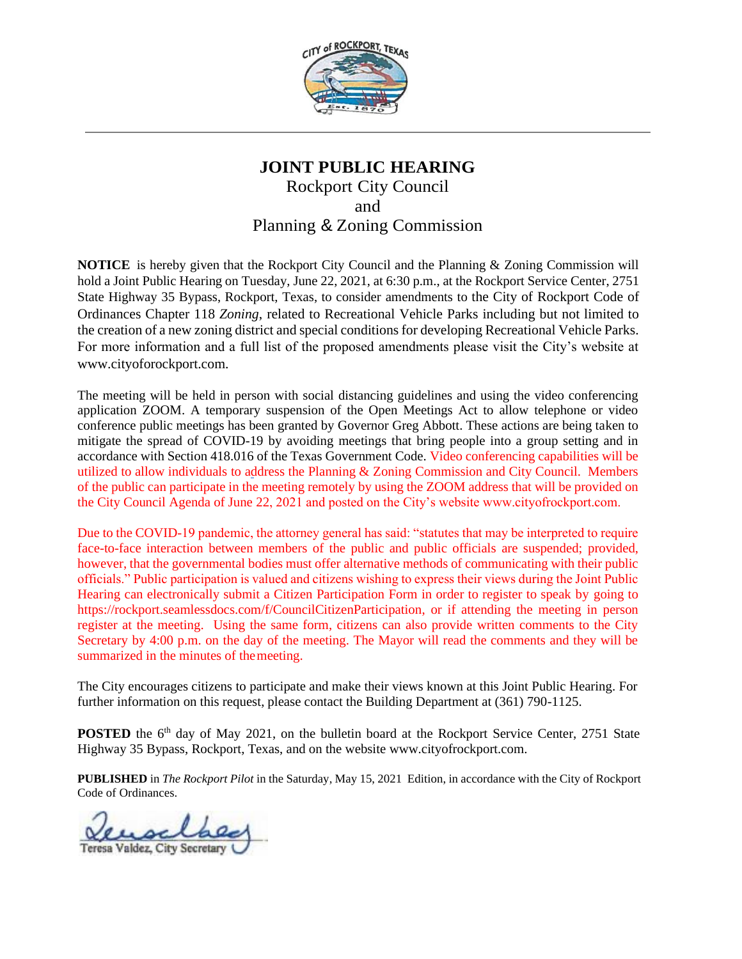

# **JOINT PUBLIC HEARING** Rockport City Council and Planning & Zoning Commission

**NOTICE** is hereby given that the Rockport City Council and the Planning & Zoning Commission will hold a Joint Public Hearing on Tuesday, June 22, 2021, at 6:30 p.m., at the Rockport Service Center, 2751 State Highway 35 Bypass, Rockport, Texas, to consider amendments to the City of Rockport Code of Ordinances Chapter 118 *Zoning*, related to Recreational Vehicle Parks including but not limited to the creation of a new zoning district and special conditions for developing Recreational Vehicle Parks. For more information and a full list of the proposed amendments please visit the City's website at www.cityoforockport.com.

The meeting will be held in person with social distancing guidelines and using the video conferencing application ZOOM. A temporary suspension of the Open Meetings Act to allow telephone or video conference public meetings has been granted by Governor Greg Abbott. These actions are being taken to mitigate the spread of COVID-19 by avoiding meetings that bring people into a group setting and in accordance with Section 418.016 of the Texas Government Code. Video conferencing capabilities will be utilized to allow individuals to address the Planning & Zoning Commission and City Council. Members of the public can participate in the meeting remotely by using the ZOOM address that will be provided on the City Council Agenda of June 22, 2021 and posted on the City's website www.cityofrockport.com.

Due to the COVID-19 pandemic, the attorney general has said: "statutes that may be interpreted to require face-to-face interaction between members of the public and public officials are suspended; provided, however, that the governmental bodies must offer alternative methods of communicating with their public officials." Public participation is valued and citizens wishing to express their views during the Joint Public Hearing can electronically submit a Citizen Participation Form in order to register to speak by going to [https://rockport.seamlessdocs.com/f/CouncilCitizenParticipation,](https://rockport.seamlessdocs.com/f/CouncilCitizenParticipation) or if attending the meeting in person register at the meeting. Using the same form, citizens can also provide written comments to the City Secretary by 4:00 p.m. on the day of the meeting. The Mayor will read the comments and they will be summarized in the minutes of themeeting.

The City encourages citizens to participate and make their views known at this Joint Public Hearing. For further information on this request, please contact the Building Department at (361) 790-1125.

POSTED the 6<sup>th</sup> day of May 2021, on the bulletin board at the Rockport Service Center, 2751 State Highway 35 Bypass, Rockport, Texas, and on the website [www.cityofrockport.com.](http://www.cityofrockport.com/)

**PUBLISHED** in *The Rockport Pilot* in the Saturday, May 15, 2021 Edition, in accordance with the City of Rockport Code of Ordinances.

Teresa Valdez, City Secretary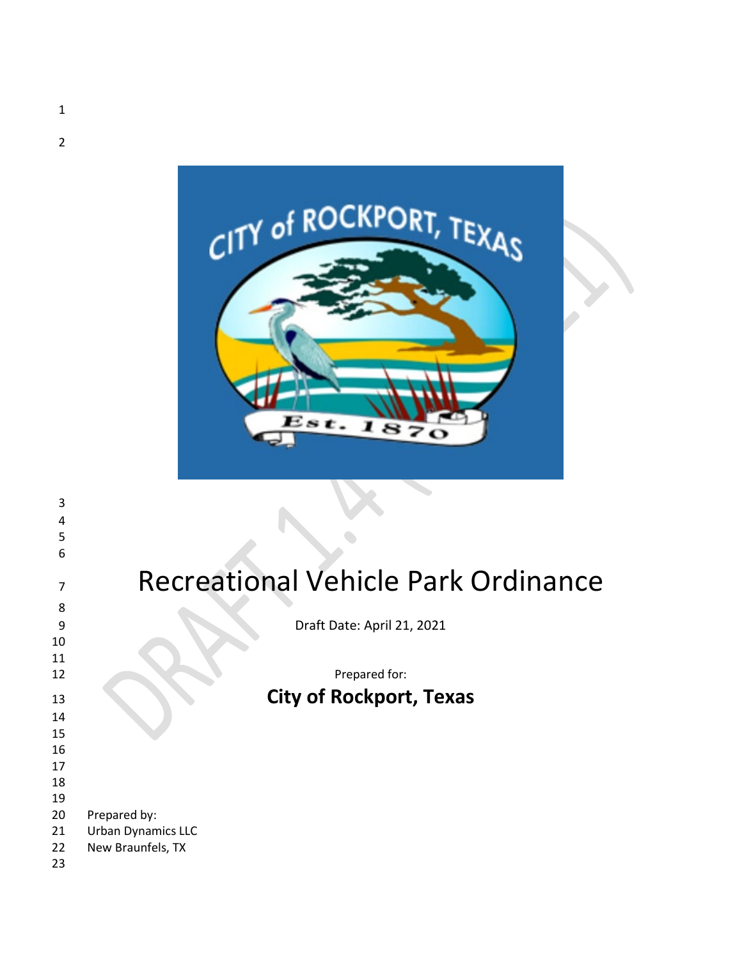

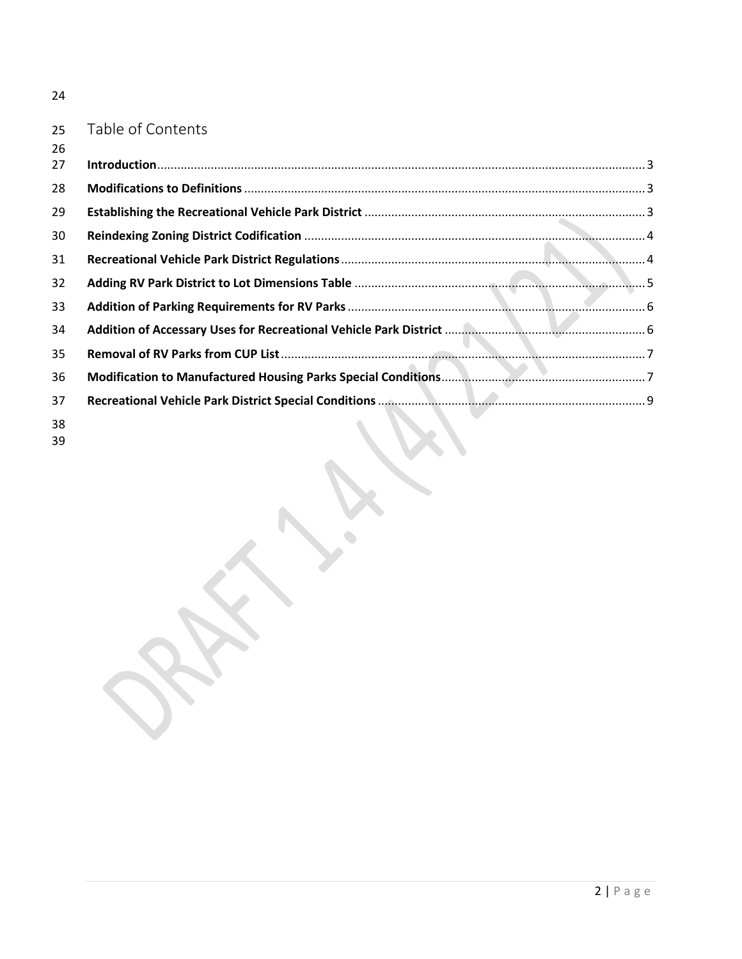|--|

# Table of Contents

| 26 |                  |  |
|----|------------------|--|
| 27 |                  |  |
| 28 |                  |  |
| 29 |                  |  |
| 30 |                  |  |
| 31 |                  |  |
| 32 |                  |  |
| 33 |                  |  |
| 34 |                  |  |
| 35 |                  |  |
| 36 |                  |  |
| 37 |                  |  |
| 38 | <b>NASA NASA</b> |  |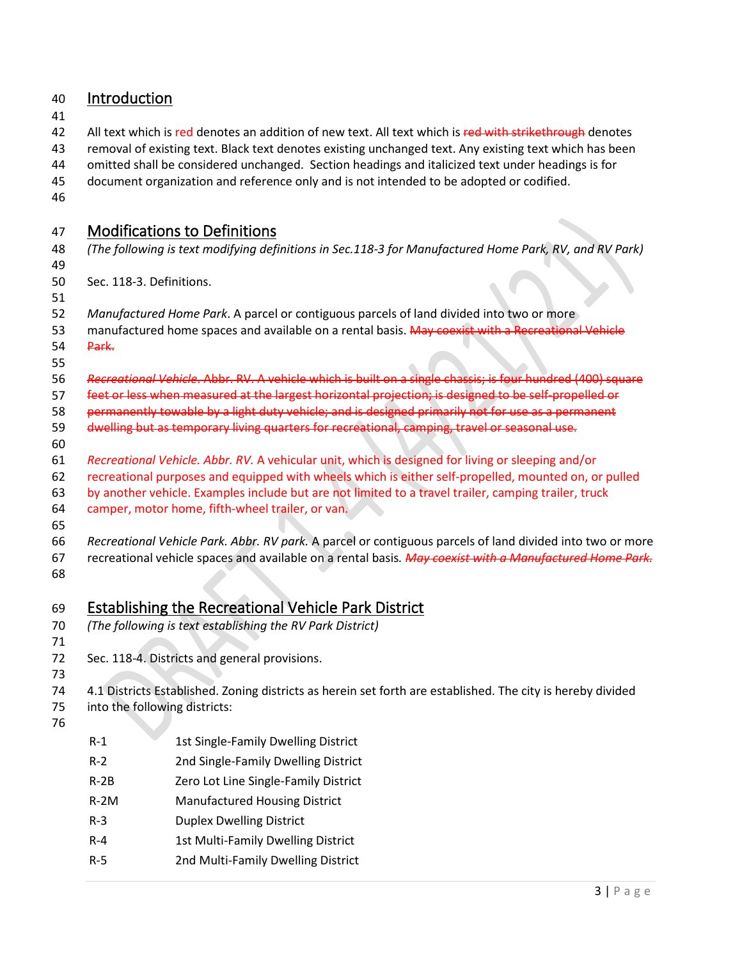<span id="page-3-2"></span><span id="page-3-1"></span><span id="page-3-0"></span>

| 40                               | Introduction |                                                                                                                                                                                                                                                                                                                                                                                                                         |
|----------------------------------|--------------|-------------------------------------------------------------------------------------------------------------------------------------------------------------------------------------------------------------------------------------------------------------------------------------------------------------------------------------------------------------------------------------------------------------------------|
| 41<br>42<br>43<br>44<br>45<br>46 |              | All text which is red denotes an addition of new text. All text which is red with strikethrough denotes<br>removal of existing text. Black text denotes existing unchanged text. Any existing text which has been<br>omitted shall be considered unchanged. Section headings and italicized text under headings is for<br>document organization and reference only and is not intended to be adopted or codified.       |
| 47                               |              | <b>Modifications to Definitions</b>                                                                                                                                                                                                                                                                                                                                                                                     |
| 48<br>49                         |              | (The following is text modifying definitions in Sec.118-3 for Manufactured Home Park, RV, and RV Park)                                                                                                                                                                                                                                                                                                                  |
| 50<br>51                         |              | Sec. 118-3. Definitions.                                                                                                                                                                                                                                                                                                                                                                                                |
| 52<br>53<br>54<br>55             | Park.        | Manufactured Home Park. A parcel or contiguous parcels of land divided into two or more<br>manufactured home spaces and available on a rental basis. May coexist with a Recreational Vehicle                                                                                                                                                                                                                            |
| 56<br>57<br>58<br>59             |              | Recreational Vehicle. Abbr. RV. A vehicle which is built on a single chassis; is four hundred (400) square<br>feet or less when measured at the largest horizontal projection; is designed to be self-propelled or<br>permanently towable by a light duty vehicle; and is designed primarily not for use as a permanent<br>dwelling but as temporary living quarters for recreational, camping, travel or seasonal use. |
| 60<br>61<br>62<br>63<br>64<br>65 |              | Recreational Vehicle. Abbr. RV. A vehicular unit, which is designed for living or sleeping and/or<br>recreational purposes and equipped with wheels which is either self-propelled, mounted on, or pulled<br>by another vehicle. Examples include but are not limited to a travel trailer, camping trailer, truck<br>camper, motor home, fifth-wheel trailer, or van.                                                   |
| 66<br>67<br>68                   |              | Recreational Vehicle Park. Abbr. RV park. A parcel or contiguous parcels of land divided into two or more<br>recreational vehicle spaces and available on a rental basis. May coexist with a Manufactured Home Park.                                                                                                                                                                                                    |
| 69<br>70<br>71                   |              | <b>Establishing the Recreational Vehicle Park District</b><br>(The following is text establishing the RV Park District)                                                                                                                                                                                                                                                                                                 |
| 72                               |              | Sec. 118-4. Districts and general provisions.                                                                                                                                                                                                                                                                                                                                                                           |
| 73<br>74<br>75<br>76             |              | 4.1 Districts Established. Zoning districts as herein set forth are established. The city is hereby divided<br>into the following districts:                                                                                                                                                                                                                                                                            |
|                                  | $R-1$        | 1st Single-Family Dwelling District                                                                                                                                                                                                                                                                                                                                                                                     |
|                                  | $R-2$        | 2nd Single-Family Dwelling District                                                                                                                                                                                                                                                                                                                                                                                     |
|                                  | $R-2B$       | Zero Lot Line Single-Family District                                                                                                                                                                                                                                                                                                                                                                                    |
|                                  | $R-2M$       | <b>Manufactured Housing District</b>                                                                                                                                                                                                                                                                                                                                                                                    |
|                                  | $R-3$        | <b>Duplex Dwelling District</b>                                                                                                                                                                                                                                                                                                                                                                                         |
|                                  | $R - 4$      | 1st Multi-Family Dwelling District                                                                                                                                                                                                                                                                                                                                                                                      |
|                                  | $R-5$        | 2nd Multi-Family Dwelling District                                                                                                                                                                                                                                                                                                                                                                                      |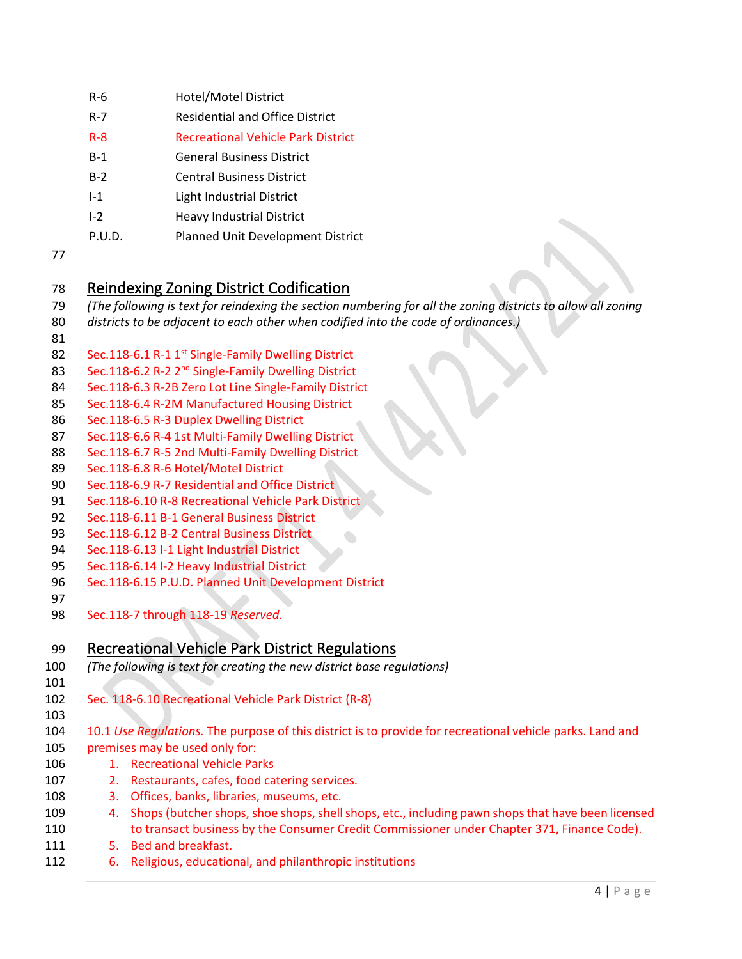- R-6 Hotel/Motel District
- R-7 Residential and Office District
- R-8 Recreational Vehicle Park District
- B-1 General Business District
- B-2 Central Business District
- I-1 Light Industrial District
- I-2 Heavy Industrial District
- <span id="page-4-0"></span>P.U.D. Planned Unit Development District
- 

## Reindexing Zoning District Codification

- *(The following is text for reindexing the section numbering for all the zoning districts to allow all zoning*
- *districts to be adjacent to each other when codified into the code of ordinances.)*
- 
- 82 Sec.118-6.1 R-1 1<sup>st</sup> Single-Family Dwelling District
- 83 Sec.118-6.2 R-2 2<sup>nd</sup> Single-Family Dwelling District
- Sec.118-6.3 R-2B Zero Lot Line Single-Family District
- Sec.118-6.4 R-2M Manufactured Housing District
- Sec.118-6.5 R-3 Duplex Dwelling District
- Sec.118-6.6 R-4 1st Multi-Family Dwelling District
- Sec.118-6.7 R-5 2nd Multi-Family Dwelling District
- Sec.118-6.8 R-6 Hotel/Motel District
- Sec.118-6.9 R-7 Residential and Office District
- Sec.118-6.10 R-8 Recreational Vehicle Park District
- Sec.118-6.11 B-1 General Business District
- Sec.118-6.12 B-2 Central Business District
- Sec.118-6.13 I-1 Light Industrial District
- Sec.118-6.14 I-2 Heavy Industrial District
- Sec.118-6.15 P.U.D. Planned Unit Development District
- Sec.118-7 through 118-19 *Reserved.*

# <span id="page-4-1"></span>Recreational Vehicle Park District Regulations

- *(The following is text for creating the new district base regulations)*
- Sec. 118-6.10 Recreational Vehicle Park District (R-8)
- 
- 10.1 *Use Regulations.* The purpose of this district is to provide for recreational vehicle parks. Land and premises may be used only for:
- 1. Recreational Vehicle Parks
- 2. Restaurants, cafes, food catering services.
- 3. Offices, banks, libraries, museums, etc.
- 4. Shops (butcher shops, shoe shops, shell shops, etc., including pawn shops that have been licensed 110 to transact business by the Consumer Credit Commissioner under Chapter 371, Finance Code).
- 5. Bed and breakfast.
- 6. Religious, educational, and philanthropic institutions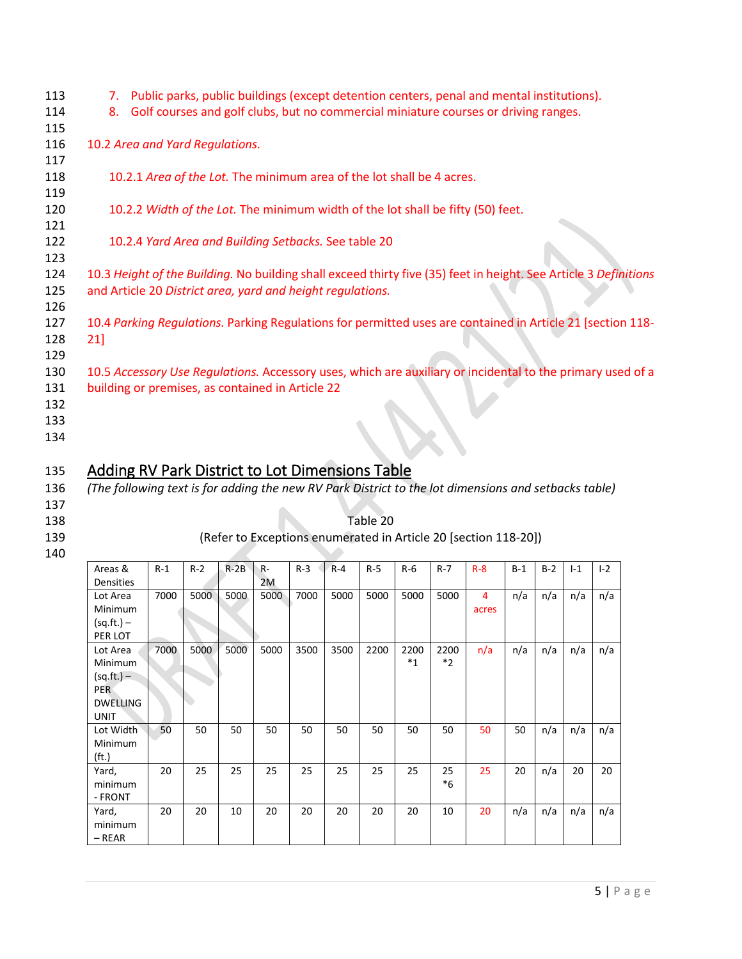| 113<br>Public parks, public buildings (except detention centers, penal and mental institutions).<br>7.<br>Golf courses and golf clubs, but no commercial miniature courses or driving ranges.<br>114<br>8.<br>115<br>116<br>10.2 Area and Yard Regulations.<br>117<br>118<br>10.2.1 Area of the Lot. The minimum area of the lot shall be 4 acres. |  |
|----------------------------------------------------------------------------------------------------------------------------------------------------------------------------------------------------------------------------------------------------------------------------------------------------------------------------------------------------|--|
|                                                                                                                                                                                                                                                                                                                                                    |  |
|                                                                                                                                                                                                                                                                                                                                                    |  |
|                                                                                                                                                                                                                                                                                                                                                    |  |
|                                                                                                                                                                                                                                                                                                                                                    |  |
|                                                                                                                                                                                                                                                                                                                                                    |  |
|                                                                                                                                                                                                                                                                                                                                                    |  |
| 119                                                                                                                                                                                                                                                                                                                                                |  |
| 120<br>10.2.2 Width of the Lot. The minimum width of the lot shall be fifty (50) feet.                                                                                                                                                                                                                                                             |  |
| 121                                                                                                                                                                                                                                                                                                                                                |  |
| 10.2.4 Yard Area and Building Setbacks. See table 20<br>122                                                                                                                                                                                                                                                                                        |  |
| 123                                                                                                                                                                                                                                                                                                                                                |  |
| 10.3 Height of the Building. No building shall exceed thirty five (35) feet in height. See Article 3 Definitions<br>124                                                                                                                                                                                                                            |  |
| 125<br>and Article 20 District area, yard and height regulations.                                                                                                                                                                                                                                                                                  |  |
| 126                                                                                                                                                                                                                                                                                                                                                |  |
| 10.4 Parking Regulations. Parking Regulations for permitted uses are contained in Article 21 [section 118-<br>127                                                                                                                                                                                                                                  |  |
| 128<br>21]                                                                                                                                                                                                                                                                                                                                         |  |
| 129                                                                                                                                                                                                                                                                                                                                                |  |
| 10.5 Accessory Use Regulations. Accessory uses, which are auxiliary or incidental to the primary used of a<br>130                                                                                                                                                                                                                                  |  |
| 131<br>building or premises, as contained in Article 22                                                                                                                                                                                                                                                                                            |  |
| 132                                                                                                                                                                                                                                                                                                                                                |  |
| 133                                                                                                                                                                                                                                                                                                                                                |  |
| 134                                                                                                                                                                                                                                                                                                                                                |  |

# <span id="page-5-0"></span>135 Adding RV Park District to Lot Dimensions Table

136 *(The following text is for adding the new RV Park District to the lot dimensions and setbacks table)*

- 137
- 
- 

### 138 Table 20 139 (Refer to Exceptions enumerated in Article 20 [section 118-20])

#### 140

| Areas &<br>Densities                                                                | $R-1$ | $R-2$ | $R-2B$ | R-<br>2M | $R-3$ | $R - 4$ | $R-5$ | $R-6$           | $R - 7$         | $R-8$      | $B-1$ | $B-2$ | $-1$ | $I-2$ |
|-------------------------------------------------------------------------------------|-------|-------|--------|----------|-------|---------|-------|-----------------|-----------------|------------|-------|-------|------|-------|
| Lot Area<br>Minimum<br>$(sq.fit.) -$<br>PER LOT                                     | 7000  | 5000  | 5000   | 5000     | 7000  | 5000    | 5000  | 5000            | 5000            | 4<br>acres | n/a   | n/a   | n/a  | n/a   |
| Lot Area<br>Minimum<br>$(sq.fr.) -$<br><b>PER</b><br><b>DWELLING</b><br><b>UNIT</b> | 7000  | 5000  | 5000   | 5000     | 3500  | 3500    | 2200  | 2200<br>$*_{1}$ | 2200<br>$*_{2}$ | n/a        | n/a   | n/a   | n/a  | n/a   |
| Lot Width<br>Minimum<br>(f <sub>t</sub> )                                           | 50    | 50    | 50     | 50       | 50    | 50      | 50    | 50              | 50              | 50         | 50    | n/a   | n/a  | n/a   |
| Yard,<br>minimum<br>- FRONT                                                         | 20    | 25    | 25     | 25       | 25    | 25      | 25    | 25              | 25<br>$*6$      | 25         | 20    | n/a   | 20   | 20    |
| Yard,<br>minimum<br>$-$ REAR                                                        | 20    | 20    | 10     | 20       | 20    | 20      | 20    | 20              | 10              | 20         | n/a   | n/a   | n/a  | n/a   |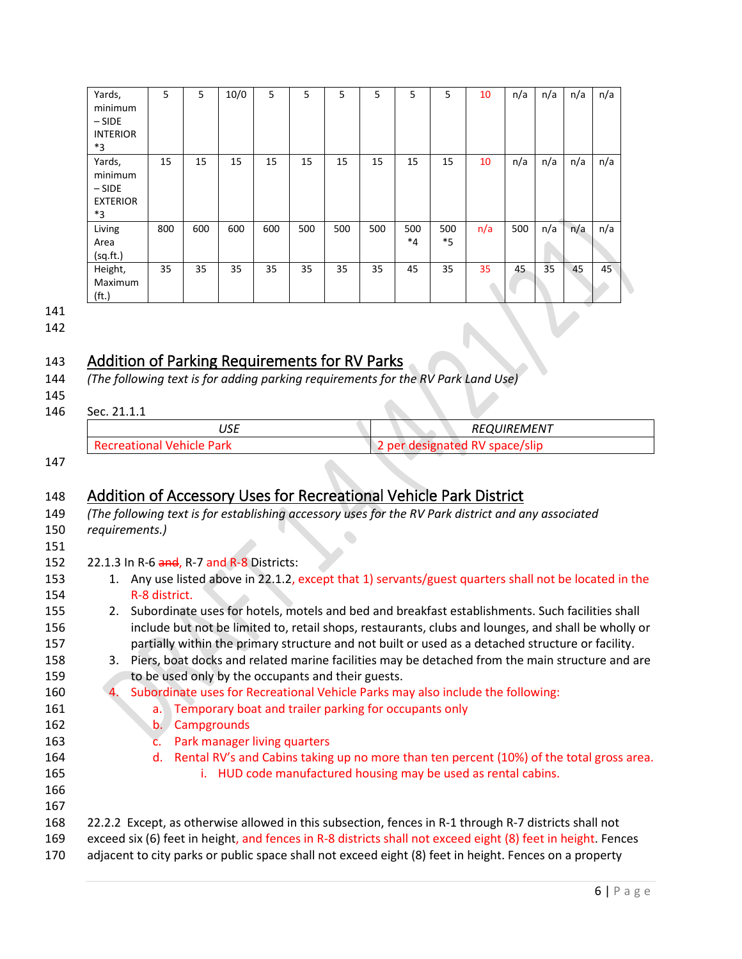| Yards,<br>minimum<br>$-SIDE$<br><b>INTERIOR</b><br>*3   | 5   | 5   | 10/0 | 5   | 5   | 5   | 5   | 5              | 5              | 10  | n/a | n/a | n/a | n/a |
|---------------------------------------------------------|-----|-----|------|-----|-----|-----|-----|----------------|----------------|-----|-----|-----|-----|-----|
| Yards,<br>minimum<br>$-SIDE$<br><b>EXTERIOR</b><br>$*3$ | 15  | 15  | 15   | 15  | 15  | 15  | 15  | 15             | 15             | 10  | n/a | n/a | n/a | n/a |
| Living<br>Area<br>(sq.fit.)                             | 800 | 600 | 600  | 600 | 500 | 500 | 500 | 500<br>$*_{4}$ | 500<br>$*_{5}$ | n/a | 500 | n/a | n/a | n/a |
| Height,<br>Maximum<br>(f <sub>t</sub> )                 | 35  | 35  | 35   | 35  | 35  | 35  | 35  | 45             | 35             | 35  | 45  | 35  | 45  | 45  |

141

<span id="page-6-0"></span>142

145

## 143 Addition of Parking Requirements for RV Parks

- 144 *(The following text is for adding parking requirements for the RV Park Land Use)*
- 146 Sec. 21.1.1

| $\overline{\phantom{a}}$<br>ບບ∟ | REQUIREMENT                         |
|---------------------------------|-------------------------------------|
| Recreational<br>' Vehicle Park' | ' space/slip<br>designated<br>. per |

<span id="page-6-1"></span>147

# 148 Addition of Accessory Uses for Recreational Vehicle Park District

- 149 *(The following text is for establishing accessory uses for the RV Park district and any associated*  150 *requirements.)*  $\bullet$ 151 152 22.1.3 In R-6 and, R-7 and R-8 Districts: 153 1. Any use listed above in 22.1.2, except that 1) servants/guest quarters shall not be located in the 154 R-8 district. 155 2. Subordinate uses for hotels, motels and bed and breakfast establishments. Such facilities shall 156 include but not be limited to, retail shops, restaurants, clubs and lounges, and shall be wholly or 157 partially within the primary structure and not built or used as a detached structure or facility. 158 3. Piers, boat docks and related marine facilities may be detached from the main structure and are 159 to be used only by the occupants and their guests. 160 4. Subordinate uses for Recreational Vehicle Parks may also include the following: 161 a. Temporary boat and trailer parking for occupants only 162 b. Campgrounds 163 c. Park manager living quarters 164 d. Rental RV's and Cabins taking up no more than ten percent (10%) of the total gross area. 165 i. HUD code manufactured housing may be used as rental cabins.
- 166 167
- 168 22.2.2 Except, as otherwise allowed in this subsection, fences in R-1 through R-7 districts shall not 169 exceed six (6) feet in height, and fences in R-8 districts shall not exceed eight (8) feet in height. Fences
- 170 adjacent to city parks or public space shall not exceed eight (8) feet in height. Fences on a property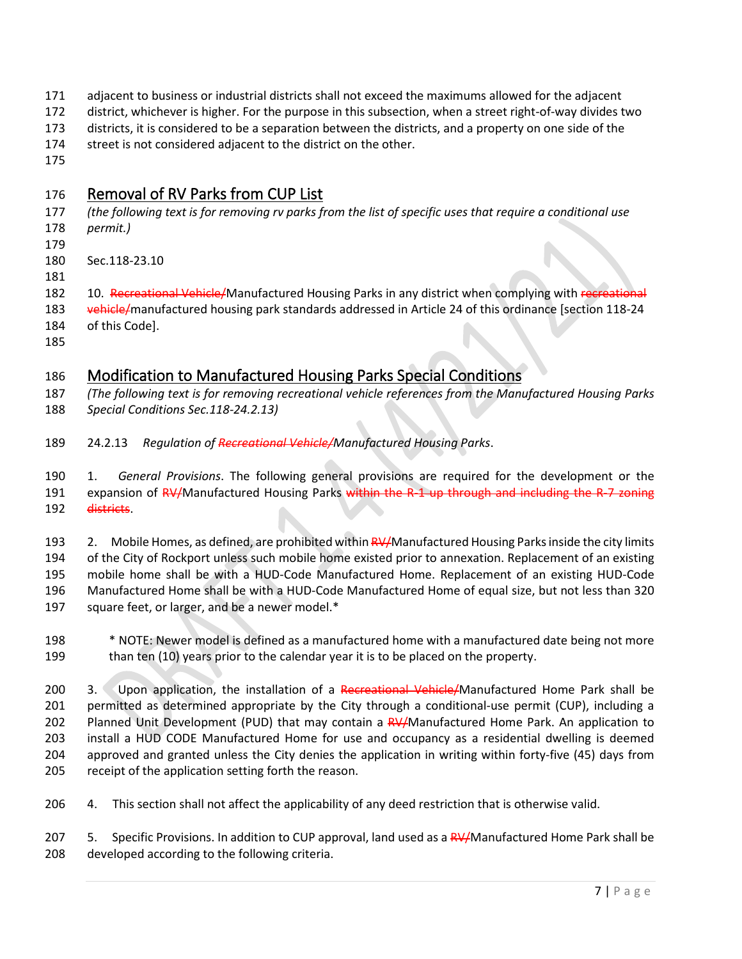- adjacent to business or industrial districts shall not exceed the maximums allowed for the adjacent
- district, whichever is higher. For the purpose in this subsection, when a street right-of-way divides two
- districts, it is considered to be a separation between the districts, and a property on one side of the
- street is not considered adjacent to the district on the other.
- <span id="page-7-0"></span>

## Removal of RV Parks from CUP List

- *(the following text is for removing rv parks from the list of specific uses that require a conditional use permit.)*
- 
- Sec.118-23.10
- 

182 10. Recreational Vehicle/Manufactured Housing Parks in any district when complying with recreational 183 vehicle/manufactured housing park standards addressed in Article 24 of this ordinance [section 118-24 of this Code].

## <span id="page-7-1"></span>Modification to Manufactured Housing Parks Special Conditions

 *(The following text is for removing recreational vehicle references from the Manufactured Housing Parks Special Conditions Sec.118-24.2.13)*

24.2.13 *Regulation of Recreational Vehicle/Manufactured Housing Parks*.

 1. *General Provisions*. The following general provisions are required for the development or the 191 expansion of RV/Manufactured Housing Parks within the R-1 up through and including the R-7 zoning districts.

193 2. Mobile Homes, as defined, are prohibited within RV/Manufactured Housing Parks inside the city limits 194 of the City of Rockport unless such mobile home existed prior to annexation. Replacement of an existing mobile home shall be with a HUD-Code Manufactured Home. Replacement of an existing HUD-Code Manufactured Home shall be with a HUD-Code Manufactured Home of equal size, but not less than 320 square feet, or larger, and be a newer model.\*

 \* NOTE: Newer model is defined as a manufactured home with a manufactured date being not more than ten (10) years prior to the calendar year it is to be placed on the property.

200 3. Upon application, the installation of a Recreational Vehicle/Manufactured Home Park shall be permitted as determined appropriate by the City through a conditional-use permit (CUP), including a 202 Planned Unit Development (PUD) that may contain a RV/Manufactured Home Park. An application to install a HUD CODE Manufactured Home for use and occupancy as a residential dwelling is deemed approved and granted unless the City denies the application in writing within forty-five (45) days from receipt of the application setting forth the reason.

4. This section shall not affect the applicability of any deed restriction that is otherwise valid.

207 5. Specific Provisions. In addition to CUP approval, land used as a RV/Manufactured Home Park shall be developed according to the following criteria.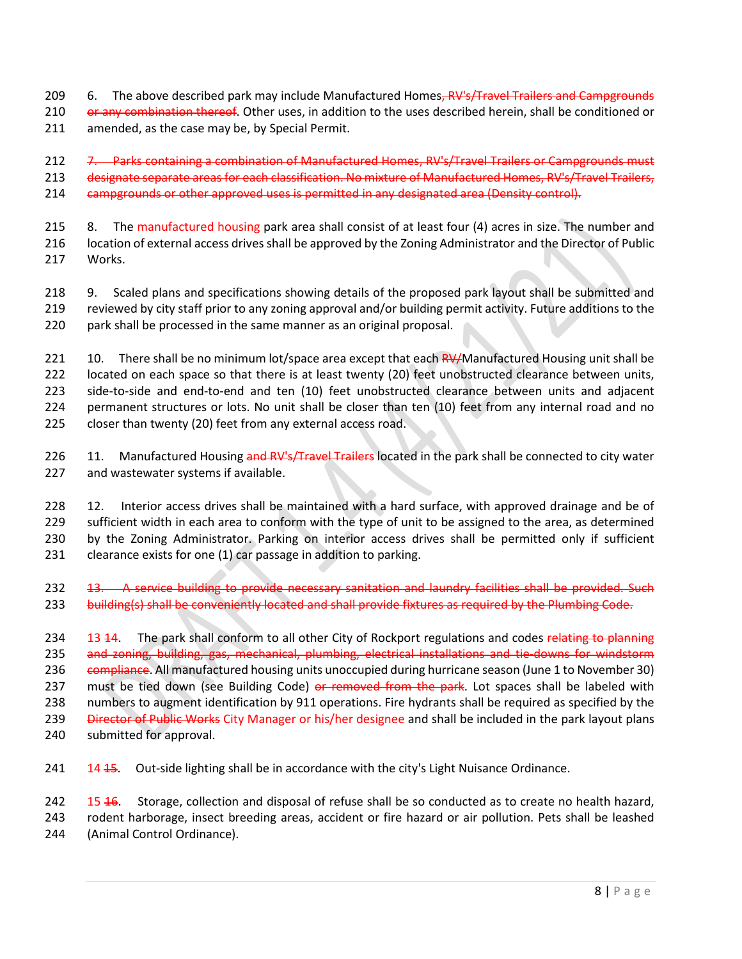- 209 6. The above described park may include Manufactured Homes, RV's/Travel Trailers and Campgrounds
- 210 or any combination thereof. Other uses, in addition to the uses described herein, shall be conditioned or 211 amended, as the case may be, by Special Permit.

212 7. Parks containing a combination of Manufactured Homes, RV's/Travel Trailers or Campgrounds must 213 designate separate areas for each classification. No mixture of Manufactured Homes, RV's/Travel Trailers, 214 campgrounds or other approved uses is permitted in any designated area (Density control).

215 8. The manufactured housing park area shall consist of at least four (4) acres in size. The number and 216 location of external access drives shall be approved by the Zoning Administrator and the Director of Public 217 Works.

218 9. Scaled plans and specifications showing details of the proposed park layout shall be submitted and 219 reviewed by city staff prior to any zoning approval and/or building permit activity. Future additions to the 220 park shall be processed in the same manner as an original proposal.

221 10. There shall be no minimum lot/space area except that each RV/Manufactured Housing unit shall be 222 located on each space so that there is at least twenty (20) feet unobstructed clearance between units, 223 side-to-side and end-to-end and ten (10) feet unobstructed clearance between units and adjacent 224 permanent structures or lots. No unit shall be closer than ten (10) feet from any internal road and no 225 closer than twenty (20) feet from any external access road.

226 11. Manufactured Housing and RV's/Travel Trailers located in the park shall be connected to city water 227 and wastewater systems if available.

 12. Interior access drives shall be maintained with a hard surface, with approved drainage and be of sufficient width in each area to conform with the type of unit to be assigned to the area, as determined by the Zoning Administrator. Parking on interior access drives shall be permitted only if sufficient clearance exists for one (1) car passage in addition to parking.

232 <del>13. A service building to provide necessary sanitation and laundry facilities shall be provided. Such</del> 233 building(s) shall be conveniently located and shall provide fixtures as required by the Plumbing Code.

234 13 14. The park shall conform to all other City of Rockport regulations and codes relating to planning 235 and zoning, building, gas, mechanical, plumbing, electrical installations and tie-downs for windstorm 236 compliance. All manufactured housing units unoccupied during hurricane season (June 1 to November 30) 237 must be tied down (see Building Code) or removed from the park. Lot spaces shall be labeled with 238 numbers to augment identification by 911 operations. Fire hydrants shall be required as specified by the 239 Director of Public Works City Manager or his/her designee and shall be included in the park layout plans 240 submitted for approval.

241 14 15. Out-side lighting shall be in accordance with the city's Light Nuisance Ordinance.

242 15 <del>16</del>. Storage, collection and disposal of refuse shall be so conducted as to create no health hazard, 243 rodent harborage, insect breeding areas, accident or fire hazard or air pollution. Pets shall be leashed 244 (Animal Control Ordinance).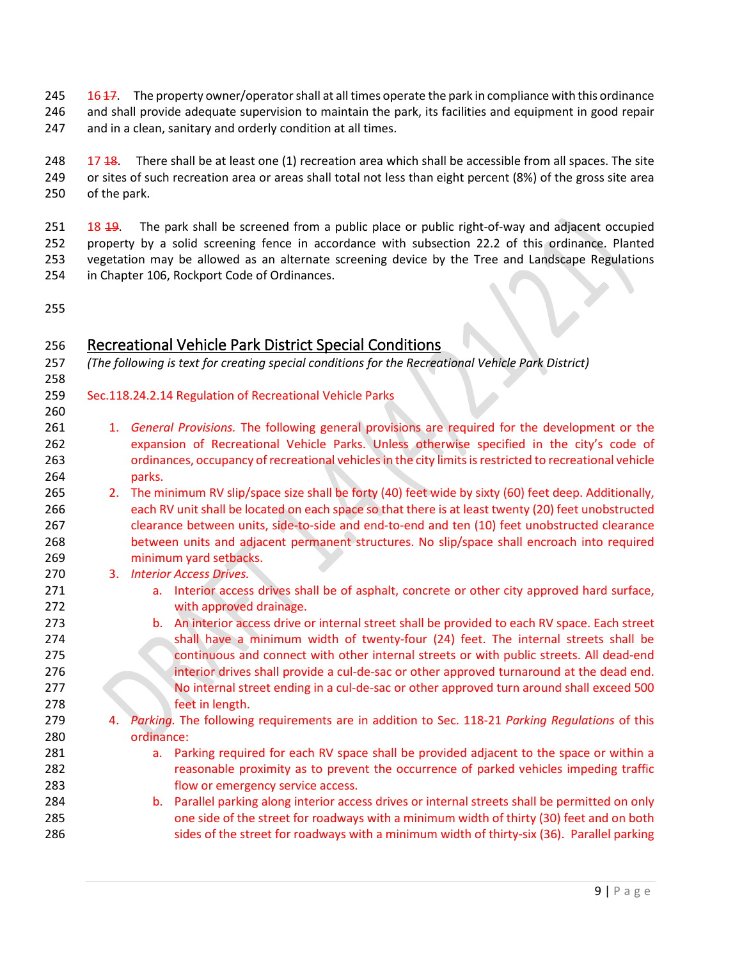245 16 17. The property owner/operator shall at all times operate the park in compliance with this ordinance and shall provide adequate supervision to maintain the park, its facilities and equipment in good repair

247 and in a clean, sanitary and orderly condition at all times.

248  $17\frac{18}{17}$ . There shall be at least one (1) recreation area which shall be accessible from all spaces. The site or sites of such recreation area or areas shall total not less than eight percent (8%) of the gross site area of the park.

251 18 19. The park shall be screened from a public place or public right-of-way and adjacent occupied property by a solid screening fence in accordance with subsection 22.2 of this ordinance. Planted vegetation may be allowed as an alternate screening device by the Tree and Landscape Regulations in Chapter 106, Rockport Code of Ordinances.

### <span id="page-9-0"></span>Recreational Vehicle Park District Special Conditions

*(The following is text for creating special conditions for the Recreational Vehicle Park District)*

- Sec.118.24.2.14 Regulation of Recreational Vehicle Parks
- 1. *General Provisions.* The following general provisions are required for the development or the expansion of Recreational Vehicle Parks. Unless otherwise specified in the city's code of ordinances, occupancy of recreational vehicles in the city limits isrestricted to recreational vehicle parks.
- 265 2. The minimum RV slip/space size shall be forty (40) feet wide by sixty (60) feet deep. Additionally, each RV unit shall be located on each space so that there is at least twenty (20) feet unobstructed clearance between units, side-to-side and end-to-end and ten (10) feet unobstructed clearance between units and adjacent permanent structures. No slip/space shall encroach into required minimum yard setbacks.
- 3. *Interior Access Drives.*
- a. Interior access drives shall be of asphalt, concrete or other city approved hard surface, with approved drainage.
- b. An interior access drive or internal street shall be provided to each RV space. Each street shall have a minimum width of twenty-four (24) feet. The internal streets shall be continuous and connect with other internal streets or with public streets. All dead-end interior drives shall provide a cul-de-sac or other approved turnaround at the dead end. No internal street ending in a cul-de-sac or other approved turn around shall exceed 500 feet in length.
- 4. *Parking.* The following requirements are in addition to Sec. 118-21 *Parking Regulations* of this ordinance:
- **a.** Parking required for each RV space shall be provided adjacent to the space or within a reasonable proximity as to prevent the occurrence of parked vehicles impeding traffic flow or emergency service access.
- b. Parallel parking along interior access drives or internal streets shall be permitted on only one side of the street for roadways with a minimum width of thirty (30) feet and on both sides of the street for roadways with a minimum width of thirty-six (36). Parallel parking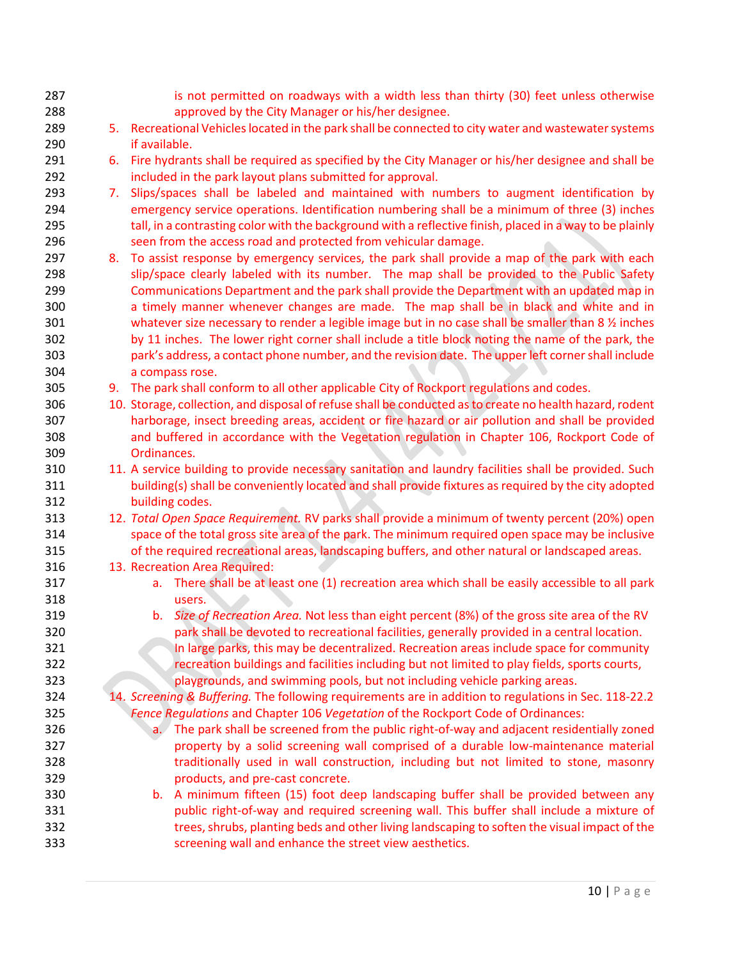- 287 is not permitted on roadways with a width less than thirty (30) feet unless otherwise approved by the City Manager or his/her designee.
- 5. Recreational Vehicles located in the park shall be connected to city water and wastewater systems if available.
- 6. Fire hydrants shall be required as specified by the City Manager or his/her designee and shall be included in the park layout plans submitted for approval.
- 293 7. Slips/spaces shall be labeled and maintained with numbers to augment identification by emergency service operations. Identification numbering shall be a minimum of three (3) inches 295 tall, in a contrasting color with the background with a reflective finish, placed in a way to be plainly seen from the access road and protected from vehicular damage.
- 297 8. To assist response by emergency services, the park shall provide a map of the park with each 298 slip/space clearly labeled with its number. The map shall be provided to the Public Safety Communications Department and the park shall provide the Department with an updated map in a timely manner whenever changes are made. The map shall be in black and white and in whatever size necessary to render a legible image but in no case shall be smaller than 8 ½ inches by 11 inches. The lower right corner shall include a title block noting the name of the park, the park's address, a contact phone number, and the revision date. The upper left corner shall include a compass rose.
- 9. The park shall conform to all other applicable City of Rockport regulations and codes.
- 10. Storage, collection, and disposal of refuse shall be conducted as to create no health hazard, rodent harborage, insect breeding areas, accident or fire hazard or air pollution and shall be provided and buffered in accordance with the Vegetation regulation in Chapter 106, Rockport Code of Ordinances.
- 11. A service building to provide necessary sanitation and laundry facilities shall be provided. Such building(s) shall be conveniently located and shall provide fixtures as required by the city adopted building codes.
- 12. *Total Open Space Requirement.* RV parks shall provide a minimum of twenty percent (20%) open space of the total gross site area of the park. The minimum required open space may be inclusive of the required recreational areas, landscaping buffers, and other natural or landscaped areas.
- 13. Recreation Area Required:
- a. There shall be at least one (1) recreation area which shall be easily accessible to all park users.
- b. *Size of Recreation Area.* Not less than eight percent (8%) of the gross site area of the RV park shall be devoted to recreational facilities, generally provided in a central location. In large parks, this may be decentralized. Recreation areas include space for community recreation buildings and facilities including but not limited to play fields, sports courts, playgrounds, and swimming pools, but not including vehicle parking areas.
- 14. *Screening & Buffering.* The following requirements are in addition to regulations in Sec. 118-22.2 *Fence Regulations* and Chapter 106 *Vegetation* of the Rockport Code of Ordinances:
- a. The park shall be screened from the public right-of-way and adjacent residentially zoned property by a solid screening wall comprised of a durable low-maintenance material traditionally used in wall construction, including but not limited to stone, masonry products, and pre-cast concrete.
- b. A minimum fifteen (15) foot deep landscaping buffer shall be provided between any public right-of-way and required screening wall. This buffer shall include a mixture of trees, shrubs, planting beds and other living landscaping to soften the visual impact of the screening wall and enhance the street view aesthetics.